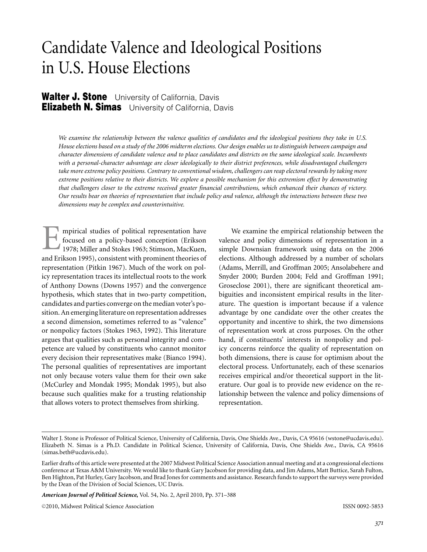# Candidate Valence and Ideological Positions in U.S. House Elections

**Walter J. Stone** University of California, Davis **Elizabeth N. Simas** University of California, Davis

*We examine the relationship between the valence qualities of candidates and the ideological positions they take in U.S. House elections based on a study of the 2006 midterm elections. Our design enables us to distinguish between campaign and character dimensions of candidate valence and to place candidates and districts on the same ideological scale. Incumbents with a personal-character advantage are closer ideologically to their district preferences, while disadvantaged challengers take more extreme policy positions. Contrary to conventional wisdom, challengers can reap electoral rewards by taking more extreme positions relative to their districts. We explore a possible mechanism for this extremism effect by demonstrating that challengers closer to the extreme received greater financial contributions, which enhanced their chances of victory. Our results bear on theories of representation that include policy and valence, although the interactions between these two dimensions may be complex and counterintuitive.*

mpirical studies of political representation have<br>focused on a policy-based conception (Erikson<br>1978; Miller and Stokes 1963; Stimson, MacKuen, focused on a policy-based conception (Erikson 1978; Miller and Stokes 1963; Stimson, MacKuen, and Erikson 1995), consistent with prominent theories of representation (Pitkin 1967). Much of the work on policy representation traces its intellectual roots to the work of Anthony Downs (Downs 1957) and the convergence hypothesis, which states that in two-party competition, candidates and parties converge on the median voter's position. An emerging literature on representation addresses a second dimension, sometimes referred to as "valence" or nonpolicy factors (Stokes 1963, 1992). This literature argues that qualities such as personal integrity and competence are valued by constituents who cannot monitor every decision their representatives make (Bianco 1994). The personal qualities of representatives are important not only because voters value them for their own sake (McCurley and Mondak 1995; Mondak 1995), but also because such qualities make for a trusting relationship that allows voters to protect themselves from shirking.

We examine the empirical relationship between the valence and policy dimensions of representation in a simple Downsian framework using data on the 2006 elections. Although addressed by a number of scholars (Adams, Merrill, and Groffman 2005; Ansolabehere and Snyder 2000; Burden 2004; Feld and Groffman 1991; Groseclose 2001), there are significant theoretical ambiguities and inconsistent empirical results in the literature. The question is important because if a valence advantage by one candidate over the other creates the opportunity and incentive to shirk, the two dimensions of representation work at cross purposes. On the other hand, if constituents' interests in nonpolicy and policy concerns reinforce the quality of representation on both dimensions, there is cause for optimism about the electoral process. Unfortunately, each of these scenarios receives empirical and/or theoretical support in the literature. Our goal is to provide new evidence on the relationship between the valence and policy dimensions of representation.

*American Journal of Political Science***,** Vol. 54, No. 2, April 2010, Pp. 371–388

© 2010, Midwest Political Science Association is a series of the series of the series of the SSN 0092-5853

Walter J. Stone is Professor of Political Science, University of California, Davis, One Shields Ave., Davis, CA 95616 (wstone@ucdavis.edu). Elizabeth N. Simas is a Ph.D. Candidate in Political Science, University of California, Davis, One Shields Ave., Davis, CA 95616 (simas.beth@ucdavis.edu).

Earlier drafts of this article were presented at the 2007 Midwest Political Science Association annual meeting and at a congressional elections conference at Texas A&M University. We would like to thank Gary Jacobson for providing data, and Jim Adams, Matt Buttice, Sarah Fulton, Ben Highton, Pat Hurley, Gary Jacobson, and Brad Jones for comments and assistance. Research funds to support the surveys were provided by the Dean of the Division of Social Sciences, UC Davis.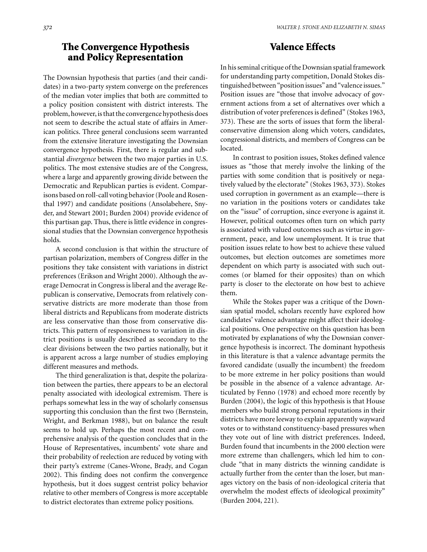### **The Convergence Hypothesis and Policy Representation**

The Downsian hypothesis that parties (and their candidates) in a two-party system converge on the preferences of the median voter implies that both are committed to a policy position consistent with district interests. The problem, however, is that the convergence hypothesis does not seem to describe the actual state of affairs in American politics. Three general conclusions seem warranted from the extensive literature investigating the Downsian convergence hypothesis. First, there is regular and substantial *divergence* between the two major parties in U.S. politics. The most extensive studies are of the Congress, where a large and apparently growing divide between the Democratic and Republican parties is evident. Comparisons based on roll-call voting behavior (Poole and Rosenthal 1997) and candidate positions (Ansolabehere, Snyder, and Stewart 2001; Burden 2004) provide evidence of this partisan gap. Thus, there is little evidence in congressional studies that the Downsian convergence hypothesis holds.

A second conclusion is that within the structure of partisan polarization, members of Congress differ in the positions they take consistent with variations in district preferences (Erikson and Wright 2000). Although the average Democrat in Congress is liberal and the average Republican is conservative, Democrats from relatively conservative districts are more moderate than those from liberal districts and Republicans from moderate districts are less conservative than those from conservative districts. This pattern of responsiveness to variation in district positions is usually described as secondary to the clear divisions between the two parties nationally, but it is apparent across a large number of studies employing different measures and methods.

The third generalization is that, despite the polarization between the parties, there appears to be an electoral penalty associated with ideological extremism. There is perhaps somewhat less in the way of scholarly consensus supporting this conclusion than the first two (Bernstein, Wright, and Berkman 1988), but on balance the result seems to hold up. Perhaps the most recent and comprehensive analysis of the question concludes that in the House of Representatives, incumbents' vote share and their probability of reelection are reduced by voting with their party's extreme (Canes-Wrone, Brady, and Cogan 2002). This finding does not confirm the convergence hypothesis, but it does suggest centrist policy behavior relative to other members of Congress is more acceptable to district electorates than extreme policy positions.

#### *372 WALTER J. STONE AND ELIZABETH N. SIMAS*

# **Valence Effects**

In his seminal critique of the Downsian spatial framework for understanding party competition, Donald Stokes distinguished between "position issues" and "valence issues." Position issues are "those that involve advocacy of government actions from a set of alternatives over which a distribution of voter preferences is defined" (Stokes 1963, 373). These are the sorts of issues that form the liberalconservative dimension along which voters, candidates, congressional districts, and members of Congress can be located.

In contrast to position issues, Stokes defined valence issues as "those that merely involve the linking of the parties with some condition that is positively or negatively valued by the electorate" (Stokes 1963, 373). Stokes used corruption in government as an example—there is no variation in the positions voters or candidates take on the "issue" of corruption, since everyone is against it. However, political outcomes often turn on which party is associated with valued outcomes such as virtue in government, peace, and low unemployment. It is true that position issues relate to how best to achieve these valued outcomes, but election outcomes are sometimes more dependent on which party is associated with such outcomes (or blamed for their opposites) than on which party is closer to the electorate on how best to achieve them.

While the Stokes paper was a critique of the Downsian spatial model, scholars recently have explored how candidates' valence advantage might affect their ideological positions. One perspective on this question has been motivated by explanations of why the Downsian convergence hypothesis is incorrect. The dominant hypothesis in this literature is that a valence advantage permits the favored candidate (usually the incumbent) the freedom to be more extreme in her policy positions than would be possible in the absence of a valence advantage. Articulated by Fenno (1978) and echoed more recently by Burden (2004), the logic of this hypothesis is that House members who build strong personal reputations in their districts have more leeway to explain apparently wayward votes or to withstand constituency-based pressures when they vote out of line with district preferences. Indeed, Burden found that incumbents in the 2000 election were more extreme than challengers, which led him to conclude "that in many districts the winning candidate is actually further from the center than the loser, but manages victory on the basis of non-ideological criteria that overwhelm the modest effects of ideological proximity" (Burden 2004, 221).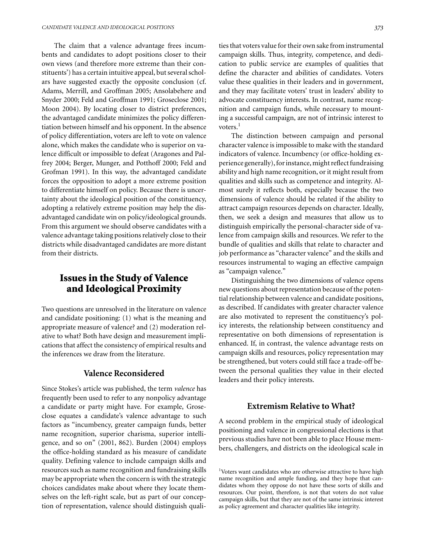The claim that a valence advantage frees incumbents and candidates to adopt positions closer to their own views (and therefore more extreme than their constituents') has a certain intuitive appeal, but several scholars have suggested exactly the opposite conclusion (cf. Adams, Merrill, and Groffman 2005; Ansolabehere and Snyder 2000; Feld and Groffman 1991; Groseclose 2001; Moon 2004). By locating closer to district preferences, the advantaged candidate minimizes the policy differentiation between himself and his opponent. In the absence of policy differentiation, voters are left to vote on valence alone, which makes the candidate who is superior on valence difficult or impossible to defeat (Aragones and Palfrey 2004; Berger, Munger, and Potthoff 2000; Feld and Grofman 1991). In this way, the advantaged candidate forces the opposition to adopt a more extreme position to differentiate himself on policy. Because there is uncertainty about the ideological position of the constituency, adopting a relatively extreme position may help the disadvantaged candidate win on policy/ideological grounds. From this argument we should observe candidates with a valence advantage taking positions relatively close to their districts while disadvantaged candidates are more distant from their districts.

# **Issues in the Study of Valence and Ideological Proximity**

Two questions are unresolved in the literature on valence and candidate positioning: (1) what is the meaning and appropriate measure of valence? and (2) moderation relative to what? Both have design and measurement implications that affect the consistency of empirical results and the inferences we draw from the literature.

#### **Valence Reconsidered**

Since Stokes's article was published, the term *valence* has frequently been used to refer to any nonpolicy advantage a candidate or party might have. For example, Groseclose equates a candidate's valence advantage to such factors as "incumbency, greater campaign funds, better name recognition, superior charisma, superior intelligence, and so on" (2001, 862). Burden (2004) employs the office-holding standard as his measure of candidate quality. Defining valence to include campaign skills and resources such as name recognition and fundraising skills may be appropriate when the concern is with the strategic choices candidates make about where they locate themselves on the left-right scale, but as part of our conception of representation, valence should distinguish quali-

ties that voters value for their own sake from instrumental campaign skills. Thus, integrity, competence, and dedication to public service are examples of qualities that define the character and abilities of candidates. Voters value these qualities in their leaders and in government, and they may facilitate voters' trust in leaders' ability to advocate constituency interests. In contrast, name recognition and campaign funds, while necessary to mounting a successful campaign, are not of intrinsic interest to voters.<sup>1</sup>

The distinction between campaign and personal character valence is impossible to make with the standard indicators of valence. Incumbency (or office-holding experience generally), for instance, might reflect fundraising ability and high name recognition, or it might result from qualities and skills such as competence and integrity. Almost surely it reflects both, especially because the two dimensions of valence should be related if the ability to attract campaign resources depends on character. Ideally, then, we seek a design and measures that allow us to distinguish empirically the personal-character side of valence from campaign skills and resources. We refer to the bundle of qualities and skills that relate to character and job performance as "character valence" and the skills and resources instrumental to waging an effective campaign as "campaign valence."

Distinguishing the two dimensions of valence opens new questions about representation because of the potential relationship between valence and candidate positions, as described. If candidates with greater character valence are also motivated to represent the constituency's policy interests, the relationship between constituency and representative on both dimensions of representation is enhanced. If, in contrast, the valence advantage rests on campaign skills and resources, policy representation may be strengthened, but voters could still face a trade-off between the personal qualities they value in their elected leaders and their policy interests.

#### **Extremism Relative to What?**

A second problem in the empirical study of ideological positioning and valence in congressional elections is that previous studies have not been able to place House members, challengers, and districts on the ideological scale in

<sup>&</sup>lt;sup>1</sup>Voters want candidates who are otherwise attractive to have high name recognition and ample funding, and they hope that candidates whom they oppose do not have these sorts of skills and resources. Our point, therefore, is not that voters do not value campaign skills, but that they are not of the same intrinsic interest as policy agreement and character qualities like integrity.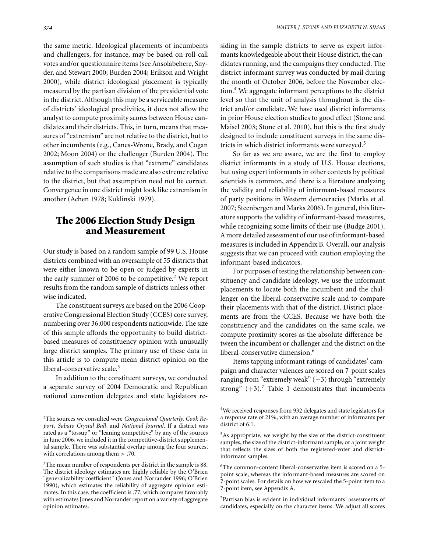the same metric. Ideological placements of incumbents and challengers, for instance, may be based on roll-call votes and/or questionnaire items (see Ansolabehere, Snyder, and Stewart 2000; Burden 2004; Erikson and Wright 2000), while district ideological placement is typically measured by the partisan division of the presidential vote in the district. Although this may be a serviceable measure of districts' ideological proclivities, it does not allow the analyst to compute proximity scores between House candidates and their districts. This, in turn, means that measures of "extremism" are not relative to the district, but to other incumbents (e.g., Canes-Wrone, Brady, and Cogan 2002; Moon 2004) or the challenger (Burden 2004). The assumption of such studies is that "extreme" candidates relative to the comparisons made are also extreme relative to the district, but that assumption need not be correct. Convergence in one district might look like extremism in another (Achen 1978; Kuklinski 1979).

# **The 2006 Election Study Design and Measurement**

Our study is based on a random sample of 99 U.S. House districts combined with an oversample of 55 districts that were either known to be open or judged by experts in the early summer of 2006 to be competitive.<sup>2</sup> We report results from the random sample of districts unless otherwise indicated.

The constituent surveys are based on the 2006 Cooperative Congressional Election Study (CCES) core survey, numbering over 36,000 respondents nationwide. The size of this sample affords the opportunity to build districtbased measures of constituency opinion with unusually large district samples. The primary use of these data in this article is to compute mean district opinion on the liberal-conservative scale.<sup>3</sup>

In addition to the constituent surveys, we conducted a separate survey of 2004 Democratic and Republican national convention delegates and state legislators residing in the sample districts to serve as expert informants knowledgeable about their House district, the candidates running, and the campaigns they conducted. The district-informant survey was conducted by mail during the month of October 2006, before the November election.<sup>4</sup> We aggregate informant perceptions to the district level so that the unit of analysis throughout is the district and/or candidate. We have used district informants in prior House election studies to good effect (Stone and Maisel 2003; Stone et al. 2010), but this is the first study designed to include constituent surveys in the same districts in which district informants were surveyed.<sup>5</sup>

So far as we are aware, we are the first to employ district informants in a study of U.S. House elections, but using expert informants in other contexts by political scientists is common, and there is a literature analyzing the validity and reliability of informant-based measures of party positions in Western democracies (Marks et al. 2007; Steenbergen and Marks 2006). In general, this literature supports the validity of informant-based measures, while recognizing some limits of their use (Budge 2001). A more detailed assessment of our use of informant-based measures is included in Appendix B. Overall, our analysis suggests that we can proceed with caution employing the informant-based indicators.

For purposes of testing the relationship between constituency and candidate ideology, we use the informant placements to locate both the incumbent and the challenger on the liberal-conservative scale and to compare their placements with that of the district. District placements are from the CCES. Because we have both the constituency and the candidates on the same scale, we compute proximity scores as the absolute difference between the incumbent or challenger and the district on the liberal-conservative dimension.<sup>6</sup>

Items tapping informant ratings of candidates' campaign and character valences are scored on 7-point scales ranging from "extremely weak" (−3) through "extremely strong"  $(+3)$ .<sup>7</sup> Table 1 demonstrates that incumbents

<sup>2</sup>The sources we consulted were *Congressional Quarterly, Cook Report*, *Sabato Crystal Ball*, and *National Journal*. If a district was rated as a "tossup" or "leaning competitive" by any of the sources in June 2006, we included it in the competitive-district supplemental sample. There was substantial overlap among the four sources, with correlations among them > .70.

<sup>&</sup>lt;sup>3</sup>The mean number of respondents per district in the sample is 88. The district ideology estimates are highly reliable by the O'Brien "generalizability coefficient" (Jones and Norrander 1996; O'Brien 1990), which estimates the reliability of aggregate opinion estimates. In this case, the coefficient is .77, which compares favorably with estimates Jones and Norrander report on a variety of aggregate opinion estimates.

<sup>4</sup>We received responses from 932 delegates and state legislators for a response rate of 21%, with an average number of informants per district of 6.1.

<sup>5</sup>As appropriate, we weight by the size of the district-constituent samples, the size of the district-informant sample, or a joint weight that reflects the sizes of both the registered-voter and districtinformant samples.

<sup>6</sup>The common-content liberal-conservative item is scored on a 5 point scale, whereas the informant-based measures are scored on 7-point scales. For details on how we rescaled the 5-point item to a 7-point item, see Appendix A.

<sup>7</sup>Partisan bias is evident in individual informants' assessments of candidates, especially on the character items. We adjust all scores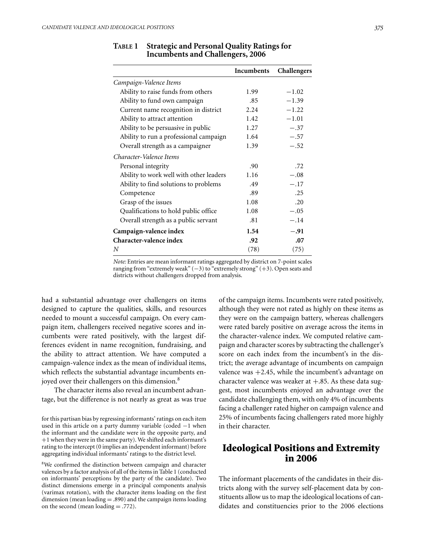|                                         | Incumbents | Challengers |
|-----------------------------------------|------------|-------------|
| Campaign-Valence Items                  |            |             |
| Ability to raise funds from others      | 1.99       | $-1.02$     |
| Ability to fund own campaign            | .85        | $-1.39$     |
| Current name recognition in district    | 2.24       | $-1.22$     |
| Ability to attract attention            | 1.42.      | $-1.01$     |
| Ability to be persuasive in public      | 1.27       | $-.37$      |
| Ability to run a professional campaign  | 1.64       | $-.57$      |
| Overall strength as a campaigner        | 1.39       | $-.52$      |
| Character-Valence Items                 |            |             |
| Personal integrity                      | .90        | .72         |
| Ability to work well with other leaders | 1.16       | $-.08$      |
| Ability to find solutions to problems   | .49        | $-.17$      |
| Competence                              | .89        | .25         |
| Grasp of the issues                     | 1.08       | .20         |
| Qualifications to hold public office    | 1.08       | $-.05$      |
| Overall strength as a public servant    | .81        | $-.14$      |
| Campaign-valence index                  | 1.54       | $-.91$      |
| Character-valence index                 | .92        | .07         |
| N                                       | (78)       | (75)        |

#### **TABLE 1 Strategic and Personal Quality Ratings for Incumbents and Challengers, 2006**

*Note:* Entries are mean informant ratings aggregated by district on 7-point scales ranging from "extremely weak" (−3) to "extremely strong" (+3). Open seats and districts without challengers dropped from analysis.

had a substantial advantage over challengers on items designed to capture the qualities, skills, and resources needed to mount a successful campaign. On every campaign item, challengers received negative scores and incumbents were rated positively, with the largest differences evident in name recognition, fundraising, and the ability to attract attention. We have computed a campaign-valence index as the mean of individual items, which reflects the substantial advantage incumbents enjoyed over their challengers on this dimension.<sup>8</sup>

The character items also reveal an incumbent advantage, but the difference is not nearly as great as was true

of the campaign items. Incumbents were rated positively, although they were not rated as highly on these items as they were on the campaign battery, whereas challengers were rated barely positive on average across the items in the character-valence index. We computed relative campaign and character scores by subtracting the challenger's score on each index from the incumbent's in the district; the average advantage of incumbents on campaign valence was  $+2.45$ , while the incumbent's advantage on character valence was weaker at  $+.85$ . As these data suggest, most incumbents enjoyed an advantage over the candidate challenging them, with only 4% of incumbents facing a challenger rated higher on campaign valence and 25% of incumbents facing challengers rated more highly in their character.

# **Ideological Positions and Extremity in 2006**

The informant placements of the candidates in their districts along with the survey self-placement data by constituents allow us to map the ideological locations of candidates and constituencies prior to the 2006 elections

for this partisan bias by regressing informants' ratings on each item used in this article on a party dummy variable (coded −1 when the informant and the candidate were in the opposite party, and  $+1$  when they were in the same party). We shifted each informant's rating to the intercept (0 implies an independent informant) before aggregating individual informants' ratings to the district level.

<sup>&</sup>lt;sup>8</sup>We confirmed the distinction between campaign and character valences by a factor analysis of all of the items in Table 1 (conducted on informants' perceptions by the party of the candidate). Two distinct dimensions emerge in a principal components analysis (varimax rotation), with the character items loading on the first dimension (mean loading  $= .890$ ) and the campaign items loading on the second (mean loading  $= .772$ ).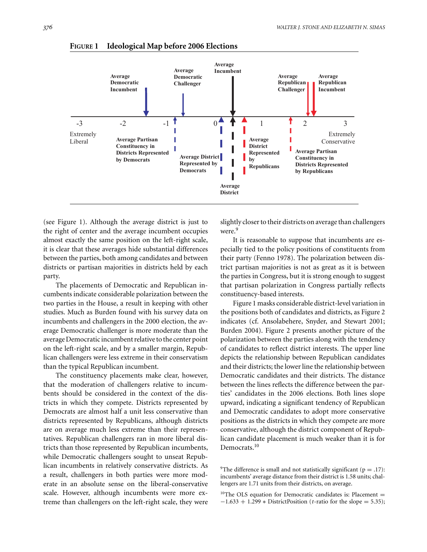

#### **FIGURE 1 Ideological Map before 2006 Elections**

(see Figure 1). Although the average district is just to the right of center and the average incumbent occupies almost exactly the same position on the left-right scale, it is clear that these averages hide substantial differences between the parties, both among candidates and between districts or partisan majorities in districts held by each party.

The placements of Democratic and Republican incumbents indicate considerable polarization between the two parties in the House, a result in keeping with other studies. Much as Burden found with his survey data on incumbents and challengers in the 2000 election, the average Democratic challenger is more moderate than the average Democraticincumbent relative to the center point on the left-right scale, and by a smaller margin, Republican challengers were less extreme in their conservatism than the typical Republican incumbent.

The constituency placements make clear, however, that the moderation of challengers relative to incumbents should be considered in the context of the districts in which they compete. Districts represented by Democrats are almost half a unit less conservative than districts represented by Republicans, although districts are on average much less extreme than their representatives. Republican challengers ran in more liberal districts than those represented by Republican incumbents, while Democratic challengers sought to unseat Republican incumbents in relatively conservative districts. As a result, challengers in both parties were more moderate in an absolute sense on the liberal-conservative scale. However, although incumbents were more extreme than challengers on the left-right scale, they were slightly closer to their districts on average than challengers were.<sup>9</sup>

It is reasonable to suppose that incumbents are especially tied to the policy positions of constituents from their party (Fenno 1978). The polarization between district partisan majorities is not as great as it is between the parties in Congress, but it is strong enough to suggest that partisan polarization in Congress partially reflects constituency-based interests.

Figure 1 masks considerable district-level variation in the positions both of candidates and districts, as Figure 2 indicates (cf. Ansolabehere, Snyder, and Stewart 2001; Burden 2004). Figure 2 presents another picture of the polarization between the parties along with the tendency of candidates to reflect district interests. The upper line depicts the relationship between Republican candidates and their districts; the lower line the relationship between Democratic candidates and their districts. The distance between the lines reflects the difference between the parties' candidates in the 2006 elections. Both lines slope upward, indicating a significant tendency of Republican and Democratic candidates to adopt more conservative positions as the districts in which they compete are more conservative, although the district component of Republican candidate placement is much weaker than it is for Democrats.<sup>10</sup>

<sup>9</sup>The difference is small and not statistically significant ( $p = .17$ ): incumbents' average distance from their district is 1.58 units; challengers are 1.71 units from their districts, on average.

<sup>10</sup>The OLS equation for Democratic candidates is: Placement = −1.633 + 1.299 ∗ DistrictPosition (*t*-ratio for the slope = 5.35);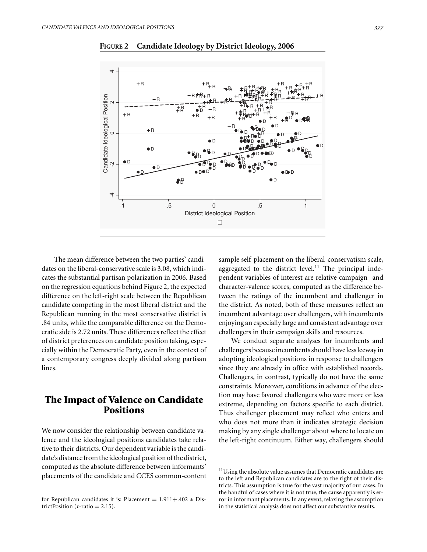

**FIGURE 2 Candidate Ideology by District Ideology, 2006**

The mean difference between the two parties' candidates on the liberal-conservative scale is 3.08, which indicates the substantial partisan polarization in 2006. Based on the regression equations behind Figure 2, the expected difference on the left-right scale between the Republican candidate competing in the most liberal district and the Republican running in the most conservative district is .84 units, while the comparable difference on the Democratic side is 2.72 units. These differences reflect the effect of district preferences on candidate position taking, especially within the Democratic Party, even in the context of a contemporary congress deeply divided along partisan lines.

# **The Impact of Valence on Candidate Positions**

We now consider the relationship between candidate valence and the ideological positions candidates take relative to their districts. Our dependent variable is the candidate's distance from the ideological position of the district, computed as the absolute difference between informants' placements of the candidate and CCES common-content sample self-placement on the liberal-conservatism scale, aggregated to the district level.<sup>11</sup> The principal independent variables of interest are relative campaign- and character-valence scores, computed as the difference between the ratings of the incumbent and challenger in the district. As noted, both of these measures reflect an incumbent advantage over challengers, with incumbents enjoying an especially large and consistent advantage over challengers in their campaign skills and resources.

We conduct separate analyses for incumbents and challengers because incumbents should have less leeway in adopting ideological positions in response to challengers since they are already in office with established records. Challengers, in contrast, typically do not have the same constraints. Moreover, conditions in advance of the election may have favored challengers who were more or less extreme, depending on factors specific to each district. Thus challenger placement may reflect who enters and who does not more than it indicates strategic decision making by any single challenger about where to locate on the left-right continuum. Either way, challengers should

for Republican candidates it is: Placement =  $1.911 + .402 * Dis$ trictPosition  $(t$ -ratio = 2.15).

 $11$ Using the absolute value assumes that Democratic candidates are to the left and Republican candidates are to the right of their districts. This assumption is true for the vast majority of our cases. In the handful of cases where it is not true, the cause apparently is error in informant placements. In any event, relaxing the assumption in the statistical analysis does not affect our substantive results.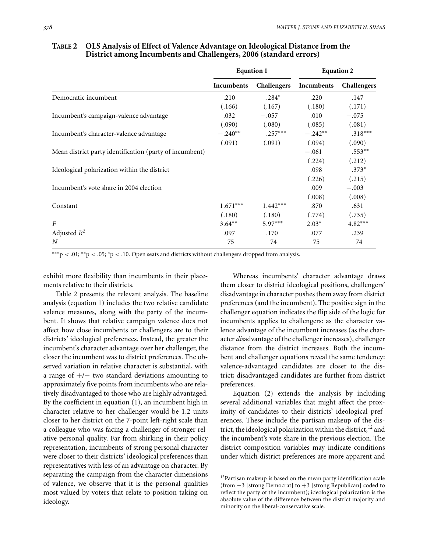|                                                         | <b>Equation 1</b> |             | <b>Equation 2</b> |             |
|---------------------------------------------------------|-------------------|-------------|-------------------|-------------|
|                                                         | Incumbents        | Challengers | Incumbents        | Challengers |
| Democratic incumbent                                    | .210              | $.284*$     | .220              | .147        |
|                                                         | (.166)            | (.167)      | (.180)            | (.171)      |
| Incumbent's campaign-valence advantage                  | .032              | $-.057$     | .010              | $-.075$     |
|                                                         | (.090)            | (.080)      | (.085)            | (.081)      |
| Incumbent's character-valence advantage                 | $-.240**$         | $.257***$   | $-.242**$         | $.318***$   |
|                                                         | (.091)            | (.091)      | (.094)            | (.090)      |
| Mean district party identification (party of incumbent) |                   |             | $-.061$           | $.553**$    |
|                                                         |                   |             | (.224)            | (.212)      |
| Ideological polarization within the district            |                   |             | .098              | $.373*$     |
|                                                         |                   |             | (.226)            | (.215)      |
| Incumbent's vote share in 2004 election                 |                   |             | .009              | $-.003$     |
|                                                         |                   |             | (.008)            | (.008)      |
| Constant                                                | $1.671***$        | $1.442***$  | .870              | .631        |
|                                                         | (.180)            | (.180)      | (.774)            | (.735)      |
| $\boldsymbol{F}$                                        | $3.64**$          | $5.97***$   | $2.03*$           | $4.82***$   |
| Adjusted $R^2$                                          | .097              | .170        | .077              | .239        |
| N                                                       | 75                | 74          | 75                | 74          |

#### **TABLE 2 OLS Analysis of Effect of Valence Advantage on Ideological Distance from the District among Incumbents and Challengers, 2006 (standard errors)**

∗∗∗p < .01; ∗∗p < .05; <sup>∗</sup>p < .10. Open seats and districts without challengers dropped from analysis.

exhibit more flexibility than incumbents in their placements relative to their districts.

Table 2 presents the relevant analysis. The baseline analysis (equation 1) includes the two relative candidate valence measures, along with the party of the incumbent. It shows that relative campaign valence does not affect how close incumbents or challengers are to their districts' ideological preferences. Instead, the greater the incumbent's character advantage over her challenger, the closer the incumbent was to district preferences. The observed variation in relative character is substantial, with a range of  $+/-$  two standard deviations amounting to approximately five points from incumbents who are relatively disadvantaged to those who are highly advantaged. By the coefficient in equation (1), an incumbent high in character relative to her challenger would be 1.2 units closer to her district on the 7-point left-right scale than a colleague who was facing a challenger of stronger relative personal quality. Far from shirking in their policy representation, incumbents of strong personal character were closer to their districts' ideological preferences than representatives with less of an advantage on character. By separating the campaign from the character dimensions of valence, we observe that it is the personal qualities most valued by voters that relate to position taking on ideology.

Whereas incumbents' character advantage draws them closer to district ideological positions, challengers' disadvantage in character pushes them away from district preferences (and the incumbent). The positive sign in the challenger equation indicates the flip side of the logic for incumbents applies to challengers: as the character valence advantage of the incumbent increases (as the character *dis*advantage of the challenger increases), challenger distance from the district increases. Both the incumbent and challenger equations reveal the same tendency: valence-advantaged candidates are closer to the district; disadvantaged candidates are further from district preferences.

Equation (2) extends the analysis by including several additional variables that might affect the proximity of candidates to their districts' ideological preferences. These include the partisan makeup of the district, the ideological polarization within the district, $12$  and the incumbent's vote share in the previous election. The district composition variables may indicate conditions under which district preferences are more apparent and

<sup>&</sup>lt;sup>12</sup>Partisan makeup is based on the mean party identification scale (from −3 [strong Democrat] to +3 [strong Republican] coded to reflect the party of the incumbent); ideological polarization is the absolute value of the difference between the district majority and minority on the liberal-conservative scale.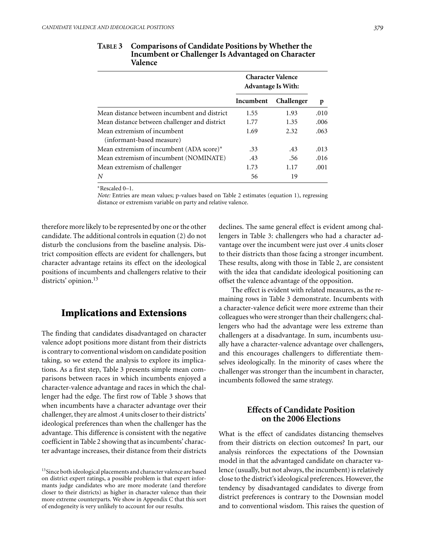|                                                          | <b>Character Valence</b><br><b>Advantage Is With:</b> |            |      |  |
|----------------------------------------------------------|-------------------------------------------------------|------------|------|--|
|                                                          | Incumbent                                             | Challenger | P    |  |
| Mean distance between incumbent and district             | 1.55                                                  | 1.93       | .010 |  |
| Mean distance between challenger and district            | 1.77                                                  | 1.35       | .006 |  |
| Mean extremism of incumbent<br>(informant-based measure) | 1.69                                                  | 2.32       | .063 |  |
| Mean extremism of incumbent (ADA score)*                 | .33                                                   | .43        | .013 |  |
| Mean extremism of incumbent (NOMINATE)                   | .43                                                   | .56        | .016 |  |
| Mean extremism of challenger                             | 1.73                                                  | 1.17       | .001 |  |
| N                                                        | 56                                                    | 19         |      |  |

| TABLE 3 Comparisons of Candidate Positions by Whether the |
|-----------------------------------------------------------|
| Incumbent or Challenger Is Advantaged on Character        |
| Valence                                                   |

<sup>∗</sup>Rescaled 0–1.

*Note:* Entries are mean values; p-values based on Table 2 estimates (equation 1), regressing distance or extremism variable on party and relative valence.

therefore more likely to be represented by one or the other candidate. The additional controls in equation (2) do not disturb the conclusions from the baseline analysis. District composition effects are evident for challengers, but character advantage retains its effect on the ideological positions of incumbents and challengers relative to their districts' opinion.<sup>13</sup>

## **Implications and Extensions**

The finding that candidates disadvantaged on character valence adopt positions more distant from their districts is contrary to conventional wisdom on candidate position taking, so we extend the analysis to explore its implications. As a first step, Table 3 presents simple mean comparisons between races in which incumbents enjoyed a character-valence advantage and races in which the challenger had the edge. The first row of Table 3 shows that when incumbents have a character advantage over their challenger, they are almost .4 units closer to their districts' ideological preferences than when the challenger has the advantage. This difference is consistent with the negative coefficient in Table 2 showing that as incumbents' character advantage increases, their distance from their districts

<sup>13</sup>Since both ideological placements and character valence are based on district expert ratings, a possible problem is that expert informants judge candidates who are more moderate (and therefore closer to their districts) as higher in character valence than their more extreme counterparts. We show in Appendix C that this sort of endogeneity is very unlikely to account for our results.

declines. The same general effect is evident among challengers in Table 3: challengers who had a character advantage over the incumbent were just over .4 units closer to their districts than those facing a stronger incumbent. These results, along with those in Table 2, are consistent with the idea that candidate ideological positioning can offset the valence advantage of the opposition.

The effect is evident with related measures, as the remaining rows in Table 3 demonstrate. Incumbents with a character-valence deficit were more extreme than their colleagues who were stronger than their challengers; challengers who had the advantage were less extreme than challengers at a disadvantage. In sum, incumbents usually have a character-valence advantage over challengers, and this encourages challengers to differentiate themselves ideologically. In the minority of cases where the challenger was stronger than the incumbent in character, incumbents followed the same strategy.

#### **Effects of Candidate Position on the 2006 Elections**

What is the effect of candidates distancing themselves from their districts on election outcomes? In part, our analysis reinforces the expectations of the Downsian model in that the advantaged candidate on character valence (usually, but not always, the incumbent) is relatively close to the district's ideological preferences. However, the tendency by disadvantaged candidates to diverge from district preferences is contrary to the Downsian model and to conventional wisdom. This raises the question of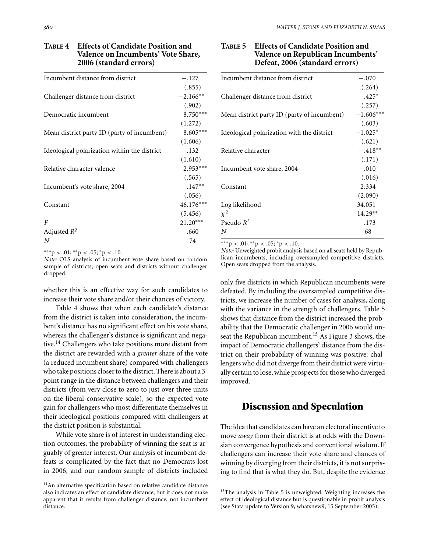#### **TABLE 4 Effects of Candidate Position and Valence on Incumbents' Vote Share, 2006 (standard errors)**

| Incumbent distance from district             | $-.127$     |
|----------------------------------------------|-------------|
|                                              | (.855)      |
| Challenger distance from district            | $-2.166**$  |
|                                              | (.902)      |
| Democratic incumbent                         | $8.750***$  |
|                                              | (1.272)     |
| Mean district party ID (party of incumbent)  | $8.605***$  |
|                                              | (1.606)     |
| Ideological polarization within the district | .132        |
|                                              | (1.610)     |
| Relative character valence                   | $2.953***$  |
|                                              | (.565)      |
| Incumbent's vote share, 2004                 | $.147**$    |
|                                              | (.056)      |
| Constant                                     | $46.176***$ |
|                                              | (5.456)     |
| $\boldsymbol{F}$                             | $21.20***$  |
| Adjusted $R^2$                               | .660        |
| N                                            | 74          |
|                                              |             |

∗∗∗p < .01; ∗∗p < .05; <sup>∗</sup>p < .10.

*Note:* OLS analysis of incumbent vote share based on random sample of districts; open seats and districts without challenger dropped.

whether this is an effective way for such candidates to increase their vote share and/or their chances of victory.

Table 4 shows that when each candidate's distance from the district is taken into consideration, the incumbent's distance has no significant effect on his vote share, whereas the challenger's distance is significant and negative.<sup>14</sup> Challengers who take positions more distant from the district are rewarded with a *greater* share of the vote (a reduced incumbent share) compared with challengers who take positions closer to the district. There is about a 3 point range in the distance between challengers and their districts (from very close to zero to just over three units on the liberal-conservative scale), so the expected vote gain for challengers who most differentiate themselves in their ideological positions compared with challengers at the district position is substantial.

While vote share is of interest in understanding election outcomes, the probability of winning the seat is arguably of greater interest. Our analysis of incumbent defeats is complicated by the fact that no Democrats lost in 2006, and our random sample of districts included

#### **TABLE 5 Effects of Candidate Position and Valence on Republican Incumbents' Defeat, 2006 (standard errors)**

| Incumbent distance from district            | $-.070$     |
|---------------------------------------------|-------------|
|                                             | (.264)      |
| Challenger distance from district           | $.425*$     |
|                                             | (.257)      |
| Mean district party ID (party of incumbent) | $-1.606***$ |
|                                             | (.603)      |
| Ideological polarization with the district  | $-1.025*$   |
|                                             | (.621)      |
| Relative character                          | $-.418**$   |
|                                             | (.171)      |
| Incumbent vote share, 2004                  | $-.010$     |
|                                             | (.016)      |
| Constant                                    | 2.334       |
|                                             | (2.090)     |
| Log likelihood                              | $-34.051$   |
| $x^2$                                       | $14.29**$   |
| Pseudo $R^2$                                | .173        |
| N                                           | 68          |

 $***p < .01; **p < .05; *p < .10.$ 

*Note:* Unweighted probit analysis based on all seats held by Republican incumbents, including oversampled competitive districts. Open seats dropped from the analysis.

only five districts in which Republican incumbents were defeated. By including the oversampled competitive districts, we increase the number of cases for analysis, along with the variance in the strength of challengers. Table 5 shows that distance from the district increased the probability that the Democratic challenger in 2006 would unseat the Republican incumbent.<sup>15</sup> As Figure 3 shows, the impact of Democratic challengers' distance from the district on their probability of winning was positive: challengers who did not diverge from their district were virtually certain to lose, while prospects for those who diverged improved.

# **Discussion and Speculation**

The idea that candidates can have an electoral incentive to move *away* from their district is at odds with the Downsian convergence hypothesis and conventional wisdom. If challengers can increase their vote share and chances of winning by diverging from their districts, it is not surprising to find that is what they do. But, despite the evidence

<sup>14</sup>An alternative specification based on relative candidate distance also indicates an effect of candidate distance, but it does not make apparent that it results from challenger distance, not incumbent distance.

<sup>&</sup>lt;sup>15</sup>The analysis in Table 5 is unweighted. Weighting increases the effect of ideological distance but is questionable in probit analysis (see Stata update to Version 9, whatsnew9, 15 September 2005).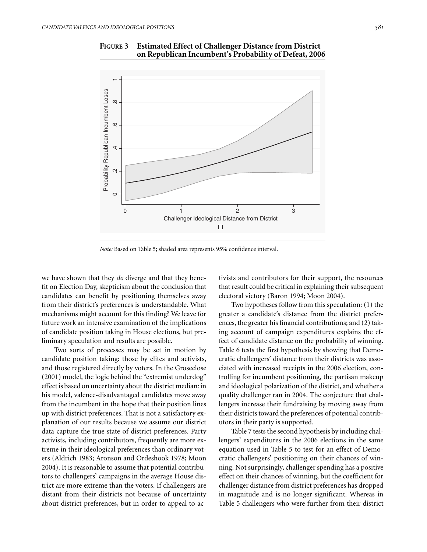

**FIGURE 3 Estimated Effect of Challenger Distance from District on Republican Incumbent's Probability of Defeat, 2006**

*Note:* Based on Table 5; shaded area represents 95% confidence interval.

we have shown that they *do* diverge and that they benefit on Election Day, skepticism about the conclusion that candidates can benefit by positioning themselves away from their district's preferences is understandable. What mechanisms might account for this finding? We leave for future work an intensive examination of the implications of candidate position taking in House elections, but preliminary speculation and results are possible.

Two sorts of processes may be set in motion by candidate position taking: those by elites and activists, and those registered directly by voters. In the Groseclose (2001) model, the logic behind the "extremist underdog" effect is based on uncertainty about the district median: in his model, valence-disadvantaged candidates move away from the incumbent in the hope that their position lines up with district preferences. That is not a satisfactory explanation of our results because we assume our district data capture the true state of district preferences. Party activists, including contributors, frequently are more extreme in their ideological preferences than ordinary voters (Aldrich 1983; Aronson and Ordeshook 1978; Moon 2004). It is reasonable to assume that potential contributors to challengers' campaigns in the average House district are more extreme than the voters. If challengers are distant from their districts not because of uncertainty about district preferences, but in order to appeal to activists and contributors for their support, the resources that result could be critical in explaining their subsequent electoral victory (Baron 1994; Moon 2004).

Two hypotheses follow from this speculation: (1) the greater a candidate's distance from the district preferences, the greater his financial contributions; and (2) taking account of campaign expenditures explains the effect of candidate distance on the probability of winning. Table 6 tests the first hypothesis by showing that Democratic challengers' distance from their districts was associated with increased receipts in the 2006 election, controlling for incumbent positioning, the partisan makeup and ideological polarization of the district, and whether a quality challenger ran in 2004. The conjecture that challengers increase their fundraising by moving away from their districts toward the preferences of potential contributors in their party is supported.

Table 7 tests the second hypothesis by including challengers' expenditures in the 2006 elections in the same equation used in Table 5 to test for an effect of Democratic challengers' positioning on their chances of winning. Not surprisingly, challenger spending has a positive effect on their chances of winning, but the coefficient for challenger distance from district preferences has dropped in magnitude and is no longer significant. Whereas in Table 5 challengers who were further from their district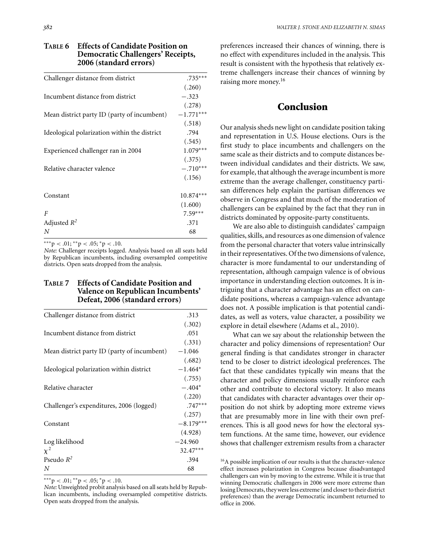| TABLE 6 Effects of Candidate Position on |
|------------------------------------------|
| Democratic Challengers' Receipts,        |
| 2006 (standard errors)                   |

| Challenger distance from district            | $.735***$   |
|----------------------------------------------|-------------|
|                                              | (.260)      |
| Incumbent distance from district             | $-.323$     |
|                                              | (.278)      |
| Mean district party ID (party of incumbent)  | $-1.771***$ |
|                                              | (.518)      |
| Ideological polarization within the district | .794        |
|                                              | (.545)      |
| Experienced challenger ran in 2004           | $1.079***$  |
|                                              | (.375)      |
| Relative character valence                   | $-.710***$  |
|                                              | (.156)      |
| Constant                                     | $10.874***$ |
|                                              | (1.600)     |
| $\overline{F}$                               | $7.59***$   |
| Adjusted $R^2$                               | .371        |
| $\boldsymbol{N}$                             | 68          |

∗∗∗p < .01; ∗∗p < .05; <sup>∗</sup>p < .10.

*Note:* Challenger receipts logged. Analysis based on all seats held by Republican incumbents, including oversampled competitive districts. Open seats dropped from the analysis.

#### **TABLE 7 Effects of Candidate Position and Valence on Republican Incumbents' Defeat, 2006 (standard errors)**

| Challenger distance from district           | .313        |
|---------------------------------------------|-------------|
|                                             | (.302)      |
| Incumbent distance from district            | .051        |
|                                             | (.331)      |
| Mean district party ID (party of incumbent) | $-1.046$    |
|                                             | (.682)      |
| Ideological polarization within district    | $-1.464*$   |
|                                             | (.755)      |
| Relative character                          | $-.404*$    |
|                                             | (.220)      |
| Challenger's expenditures, 2006 (logged)    | $.747***$   |
|                                             | (.257)      |
| Constant                                    | $-8.179***$ |
|                                             | (4.928)     |
| Log likelihood                              | $-24.960$   |
| $x^2$                                       | $32.47***$  |
| Pseudo $R^2$                                | .394        |
| N                                           | 68          |

∗∗∗p < .01; ∗∗p < .05; <sup>∗</sup>p < .10.

*Note:* Unweighted probit analysis based on all seats held by Republican incumbents, including oversampled competitive districts. Open seats dropped from the analysis.

preferences increased their chances of winning, there is no effect with expenditures included in the analysis. This result is consistent with the hypothesis that relatively extreme challengers increase their chances of winning by raising more money.<sup>16</sup>

#### **Conclusion**

Our analysis sheds new light on candidate position taking and representation in U.S. House elections. Ours is the first study to place incumbents and challengers on the same scale as their districts and to compute distances between individual candidates and their districts. We saw, for example, that although the average incumbent is more extreme than the average challenger, constituency partisan differences help explain the partisan differences we observe in Congress and that much of the moderation of challengers can be explained by the fact that they run in districts dominated by opposite-party constituents.

We are also able to distinguish candidates' campaign qualities, skills, and resources as one dimension of valence from the personal character that voters value intrinsically in their representatives. Of the two dimensions of valence, character is more fundamental to our understanding of representation, although campaign valence is of obvious importance in understanding election outcomes. It is intriguing that a character advantage has an effect on candidate positions, whereas a campaign-valence advantage does not. A possible implication is that potential candidates, as well as voters, value character, a possibility we explore in detail elsewhere (Adams et al., 2010).

What can we say about the relationship between the character and policy dimensions of representation? Our general finding is that candidates stronger in character tend to be closer to district ideological preferences. The fact that these candidates typically win means that the character and policy dimensions usually reinforce each other and contribute to electoral victory. It also means that candidates with character advantages over their opposition do not shirk by adopting more extreme views that are presumably more in line with their own preferences. This is all good news for how the electoral system functions. At the same time, however, our evidence shows that challenger extremism results from a character

<sup>16</sup>A possible implication of our results is that the character-valence effect increases polarization in Congress because disadvantaged challengers can win by moving to the extreme. While it is true that winning Democratic challengers in 2006 were more extreme than losing Democrats, they were less extreme (and closer to their district preferences) than the average Democratic incumbent returned to office in 2006.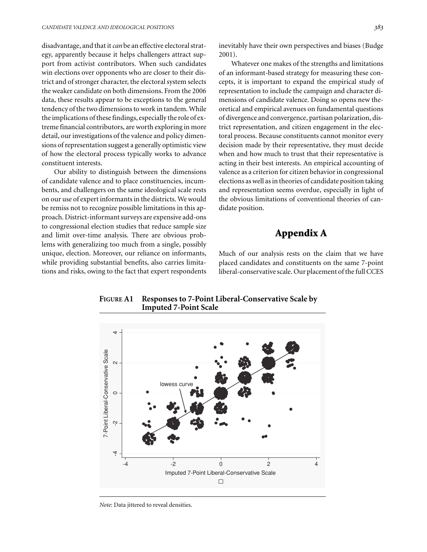disadvantage, and that it*can* be an effective electoral strategy, apparently because it helps challengers attract support from activist contributors. When such candidates win elections over opponents who are closer to their district and of stronger character, the electoral system selects the weaker candidate on both dimensions. From the 2006 data, these results appear to be exceptions to the general tendency of the two dimensions to work in tandem. While the implications of these findings, especially the role of extreme financial contributors, are worth exploring in more detail, our investigations of the valence and policy dimensions of representation suggest a generally optimistic view of how the electoral process typically works to advance constituent interests.

Our ability to distinguish between the dimensions of candidate valence and to place constituencies, incumbents, and challengers on the same ideological scale rests on our use of expert informants in the districts. We would be remiss not to recognize possible limitations in this approach. District-informant surveys are expensive add-ons to congressional election studies that reduce sample size and limit over-time analysis. There are obvious problems with generalizing too much from a single, possibly unique, election. Moreover, our reliance on informants, while providing substantial benefits, also carries limitations and risks, owing to the fact that expert respondents inevitably have their own perspectives and biases (Budge 2001).

Whatever one makes of the strengths and limitations of an informant-based strategy for measuring these concepts, it is important to expand the empirical study of representation to include the campaign and character dimensions of candidate valence. Doing so opens new theoretical and empirical avenues on fundamental questions of divergence and convergence, partisan polarization, district representation, and citizen engagement in the electoral process. Because constituents cannot monitor every decision made by their representative, they must decide when and how much to trust that their representative is acting in their best interests. An empirical accounting of valence as a criterion for citizen behavior in congressional elections as well as in theories of candidate position taking and representation seems overdue, especially in light of the obvious limitations of conventional theories of candidate position.

# **Appendix A**

Much of our analysis rests on the claim that we have placed candidates and constituents on the same 7-point liberal-conservative scale. Our placement of the full CCES

 $\overline{a}$ -4 -2 0 2 4 7-Point Liberal-Conservative Scale 7-Point Liberal-Conservative Scale  $\sim$ lowess curve  $\circ$ Ņ 4 -4 -2 0 2 4 Imputed 7-Point Liberal-Conservative Scale  $\Box$ 

**FIGURE A1 Responses to 7-Point Liberal-Conservative Scale by Imputed 7-Point Scale**



*Note*: Data jittered to reveal densities.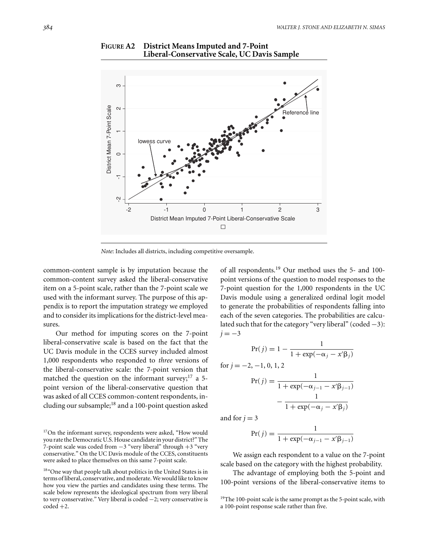

**FIGURE A2 District Means Imputed and 7-Point Liberal-Conservative Scale, UC Davis Sample**

*Note*: Includes all districts, including competitive oversample.

common-content sample is by imputation because the common-content survey asked the liberal-conservative item on a 5-point scale, rather than the 7-point scale we used with the informant survey. The purpose of this appendix is to report the imputation strategy we employed and to consider its implications for the district-level measures.

Our method for imputing scores on the 7-point liberal-conservative scale is based on the fact that the UC Davis module in the CCES survey included almost 1,000 respondents who responded to *three* versions of the liberal-conservative scale: the 7-point version that matched the question on the informant survey; $17$  a 5point version of the liberal-conservative question that was asked of all CCES common-content respondents, including our subsample;<sup>18</sup> and a 100-point question asked

of all respondents.<sup>19</sup> Our method uses the 5- and 100 point versions of the question to model responses to the 7-point question for the 1,000 respondents in the UC Davis module using a generalized ordinal logit model to generate the probabilities of respondents falling into each of the seven categories. The probabilities are calculated such that for the category "very liberal" (coded −3):  $j = -3$ 

$$
Pr(j) = 1 - \frac{1}{1 + exp(-\alpha_j - x'\beta_j)}
$$
  
for  $j = -2, -1, 0, 1, 2$   

$$
Pr(j) = \frac{1}{1 + exp(-\alpha_{j-1} - x'\beta_{j-1})}
$$

$$
-\frac{1}{1 + exp(-\alpha_j - x'\beta_j)}
$$

and for  $j = 3$ 

$$
Pr(j) = \frac{1}{1 + exp(-\alpha_{j-1} - x'\beta_{j-1})}
$$

We assign each respondent to a value on the 7-point scale based on the category with the highest probability.

The advantage of employing both the 5-point and 100-point versions of the liberal-conservative items to

<sup>&</sup>lt;sup>17</sup>On the informant survey, respondents were asked, "How would you rate the Democratic U.S. House candidate in your district?" The 7-point scale was coded from  $-3$  "very liberal" through  $+3$  "very conservative." On the UC Davis module of the CCES, constituents were asked to place themselves on this same 7-point scale.

<sup>&</sup>lt;sup>18"</sup>One way that people talk about politics in the United States is in terms of liberal, conservative, and moderate.We would like to know how you view the parties and candidates using these terms. The scale below represents the ideological spectrum from very liberal to very conservative." Very liberal is coded −2; very conservative is coded +2.

 $19$ <sup>19</sup>The 100-point scale is the same prompt as the 5-point scale, with a 100-point response scale rather than five.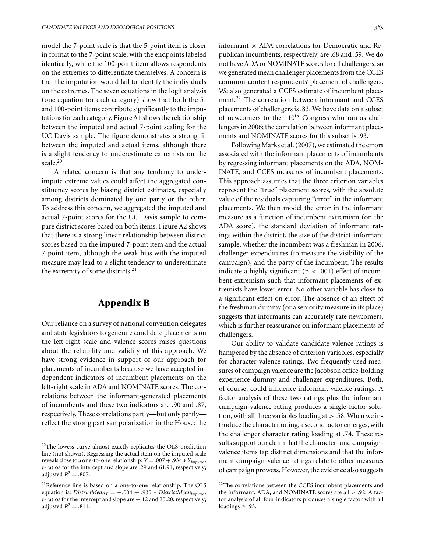model the 7-point scale is that the 5-point item is closer in format to the 7-point scale, with the endpoints labeled identically, while the 100-point item allows respondents on the extremes to differentiate themselves. A concern is that the imputation would fail to identify the individuals on the extremes. The seven equations in the logit analysis (one equation for each category) show that both the 5 and 100-point items contribute significantly to the imputations for each category. Figure A1 shows the relationship between the imputed and actual 7-point scaling for the UC Davis sample. The figure demonstrates a strong fit between the imputed and actual items, although there is a slight tendency to underestimate extremists on the scale.<sup>20</sup>

A related concern is that any tendency to underimpute extreme values could affect the aggregated constituency scores by biasing district estimates, especially among districts dominated by one party or the other. To address this concern, we aggregated the imputed and actual 7-point scores for the UC Davis sample to compare district scores based on both items. Figure A2 shows that there is a strong linear relationship between district scores based on the imputed 7-point item and the actual 7-point item, although the weak bias with the imputed measure may lead to a slight tendency to underestimate the extremity of some districts.<sup>21</sup>

## **Appendix B**

Our reliance on a survey of national convention delegates and state legislators to generate candidate placements on the left-right scale and valence scores raises questions about the reliability and validity of this approach. We have strong evidence in support of our approach for placements of incumbents because we have accepted independent indicators of incumbent placements on the left-right scale in ADA and NOMINATE scores. The correlations between the informant-generated placements of incumbents and these two indicators are .90 and .87, respectively. These correlations partly—but only partly reflect the strong partisan polarization in the House: the informant  $\times$  ADA correlations for Democratic and Republican incumbents, respectively, are .68 and .59. We do not have ADA or NOMINATE scoresfor all challengers, so we generated mean challenger placements from the CCES common-content respondents' placement of challengers. We also generated a CCES estimate of incumbent placement.<sup>22</sup> The correlation between informant and CCES placements of challengers is .83. We have data on a subset of newcomers to the  $110<sup>th</sup>$  Congress who ran as challengers in 2006; the correlation between informant placements and NOMINATE scores for this subset is .93.

Following Marks et al. (2007), we estimated the errors associated with the informant placements of incumbents by regressing informant placements on the ADA, NOM-INATE, and CCES measures of incumbent placements. This approach assumes that the three criterion variables represent the "true" placement scores, with the absolute value of the residuals capturing "error" in the informant placements. We then model the error in the informant measure as a function of incumbent extremism (on the ADA score), the standard deviation of informant ratings within the district, the size of the district-informant sample, whether the incumbent was a freshman in 2006, challenger expenditures (to measure the visibility of the campaign), and the party of the incumbent. The results indicate a highly significant ( $p < .001$ ) effect of incumbent extremism such that informant placements of extremists have lower error. No other variable has close to a significant effect on error. The absence of an effect of the freshman dummy (or a seniority measure in its place) suggests that informants can accurately rate newcomers, which is further reassurance on informant placements of challengers.

Our ability to validate candidate-valence ratings is hampered by the absence of criterion variables, especially for character-valence ratings. Two frequently used measures of campaign valence are the Jacobson office-holding experience dummy and challenger expenditures. Both, of course, could influence informant valence ratings. A factor analysis of these two ratings plus the informant campaign-valence rating produces a single-factor solution, with all three variables loading at > .58. When we introduce the character rating, a second factor emerges, with the challenger character rating loading at .74. These results support our claim that the character- and campaignvalence items tap distinct dimensions and that the informant campaign-valence ratings relate to other measures of campaign prowess. However, the evidence also suggests

<sup>&</sup>lt;sup>20</sup>The lowess curve almost exactly replicates the OLS prediction line (not shown). Regressing the actual item on the imputed scale reveals close to a one-to-one relationship:*Y* =.007+.934 ∗*Yimputed* . *t*-ratios for the intercept and slope are .29 and 61.91, respectively; adjusted  $R^2 = .807$ .

<sup>21</sup>Reference line is based on a one-to-one relationship. The OLS equation is: *DistrictMean* $_Y = -.004 + .935 * DistrictMean_{imputed}$ . *t*-ratios for the intercept and slope are −.12 and 25.20, respectively; adjusted  $R^2 = .811$ .

<sup>&</sup>lt;sup>22</sup>The correlations between the CCES incumbent placements and the informant, ADA, and NOMINATE scores are all > .92. A factor analysis of all four indicators produces a single factor with all loadings  $\geq$  .93.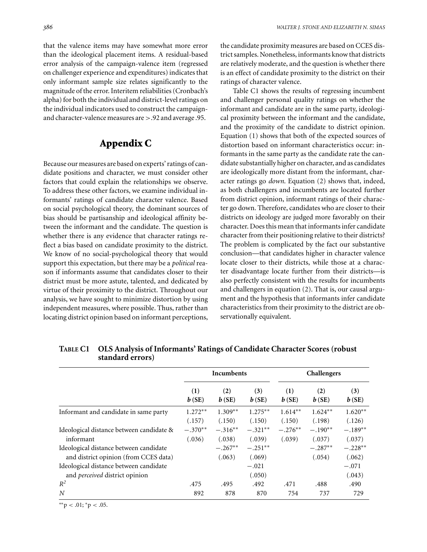that the valence items may have somewhat more error than the ideological placement items. A residual-based error analysis of the campaign-valence item (regressed on challenger experience and expenditures) indicates that only informant sample size relates significantly to the magnitude of the error. Interitem reliabilities (Cronbach's alpha) for both the individual and district-level ratings on the individual indicators used to construct the campaignand character-valence measures are>.92 and average .95.

# **Appendix C**

Because our measures are based on experts' ratings of candidate positions and character, we must consider other factors that could explain the relationships we observe. To address these other factors, we examine individual informants' ratings of candidate character valence. Based on social psychological theory, the dominant sources of bias should be partisanship and ideological affinity between the informant and the candidate. The question is whether there is any evidence that character ratings reflect a bias based on candidate proximity to the district. We know of no social-psychological theory that would support this expectation, but there may be a *political* reason if informants assume that candidates closer to their district must be more astute, talented, and dedicated by virtue of their proximity to the district. Throughout our analysis, we have sought to minimize distortion by using independent measures, where possible. Thus, rather than locating district opinion based on informant perceptions,

the candidate proximity measures are based on CCES district samples. Nonetheless, informants know that districts are relatively moderate, and the question is whether there is an effect of candidate proximity to the district on their ratings of character valence.

Table C1 shows the results of regressing incumbent and challenger personal quality ratings on whether the informant and candidate are in the same party, ideological proximity between the informant and the candidate, and the proximity of the candidate to district opinion. Equation (1) shows that both of the expected sources of distortion based on informant characteristics occur: informants in the same party as the candidate rate the candidate substantially higher on character, and as candidates are ideologically more distant from the informant, character ratings go *down*. Equation (2) shows that, indeed, as both challengers and incumbents are located further from district opinion, informant ratings of their character go down. Therefore, candidates who are closer to their districts on ideology are judged more favorably on their character. Does this mean that informants infer candidate character from their positioning relative to their districts? The problem is complicated by the fact our substantive conclusion—that candidates higher in character valence locate closer to their districts, while those at a character disadvantage locate further from their districts—is also perfectly consistent with the results for incumbents and challengers in equation (2). That is, our causal argument and the hypothesis that informants infer candidate characteristics from their proximity to the district are observationally equivalent.

|                                          | <b>Incumbents</b> |              |              | <b>Challengers</b> |                              |              |
|------------------------------------------|-------------------|--------------|--------------|--------------------|------------------------------|--------------|
|                                          | (1)<br>b(SE)      | (2)<br>b(SE) | (3)<br>b(SE) | (1)<br>b(SE)       | (2)<br>$\boldsymbol{b}$ (SE) | (3)<br>b(SE) |
| Informant and candidate in same party    | $1.272**$         | $1.309**$    | $1.275**$    | $1.614**$          | $1.624**$                    | $1.620**$    |
|                                          | (.157)            | (.150)       | (.150)       | (.150)             | (.198)                       | (.126)       |
| Ideological distance between candidate & | $-.370**$         | $-.316**$    | $-.321**$    | $-.276**$          | $-.190**$                    | $-.189**$    |
| informant                                | (.036)            | (.038)       | (.039)       | (.039)             | (.037)                       | (.037)       |
| Ideological distance between candidate   |                   | $-.267**$    | $-.251**$    |                    | $-.287**$                    | $-.228**$    |
| and district opinion (from CCES data)    |                   | (.063)       | (.069)       |                    | (.054)                       | (.062)       |
| Ideological distance between candidate   |                   |              | $-.021$      |                    |                              | $-.071$      |
| and <i>perceived</i> district opinion    |                   |              | (.050)       |                    |                              | (.043)       |
| $R^2$                                    | .475              | .495         | .492         | .471               | .488                         | .490         |
| $\boldsymbol{N}$                         | 892               | 878          | 870          | 754                | 737                          | 729          |

**TABLE C1 OLS Analysis of Informants' Ratings of Candidate Character Scores (robust standard errors)**

∗∗p < .01; <sup>∗</sup>p < .05.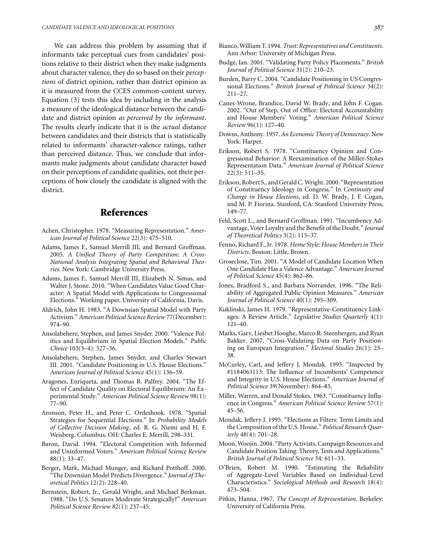We can address this problem by assuming that if informants take perceptual cues from candidates' positions relative to their district when they make judgments about character valence, they do so based on their *perceptions* of district opinion, rather than district opinion as it is measured from the CCES common-content survey. Equation (3) tests this idea by including in the analysis a measure of the ideological distance between the candidate and district opinion *as perceived by the informant*. The results clearly indicate that it is the *actual* distance between candidates and their districts that is statistically related to informants' character-valence ratings, rather than perceived distance. Thus, we conclude that informants make judgments about candidate character based on their perceptions of candidate qualities, not their perceptions of how closely the candidate is aligned with the district.

### **References**

- Achen, Christopher. 1978. "Measuring Representation." *American Journal of Political Science* 22(3): 475–510.
- Adams, James F., Samuel Merrill III, and Bernard Groffman. 2005. *A Unified Theory of Party Competition: A Cross-National Analysis Integrating Spatial and Behavioral Theories*. New York: Cambridge University Press.
- Adams, James F., Samuel Merrill III, Elizabeth N. Simas, and Walter J. Stone. 2010. "When Candidates Value Good Character: A Spatial Model with Applications to Congressional Elections." Working paper, University of California, Davis.
- Aldrich, John H. 1983. "A Downsian Spatial Model with Party Activism." *American Political Science Review* 77(December): 974–90.
- Ansolabehere, Stephen, and James Snyder. 2000. "Valence Politics and Equilibrium in Spatial Election Models." *Public Choice* 103(3–4): 327–36.
- Ansolabehere, Stephen, James Snyder, and Charles Stewart III. 2001. "Candidate Positioning in U.S. House Elections." *American Journal of Political Science* 45(1): 136–59.
- Aragones, Enriqueta, and Thomas R. Palfrey. 2004. "The Effect of Candidate Quality on Electoral Equilibrium: An Experimental Study." *American Political Science Review* 98(1): 77–90.
- Aronson, Peter H., and Peter C. Ordeshook. 1978. "Spatial Strategies for Sequential Elections." In *Probability Models of Collective Decision Making*, ed. R. G. Niemi and H. F. Weisberg. Columbus, OH: Charles E. Merrill, 298–331.
- Baron, David. 1994. "Electoral Competition with Informed and Uninformed Voters." *American Political Science Review* 88(1): 33–47.
- Berger, Mark, Michael Munger, and Richard Potthoff. 2000. "The Downsian Model Predicts Divergence." *Journal of Theoretical Politics* 12(2): 228–40.
- Bernstein, Robert, Jr., Gerald Wright, and Michael Berkman. 1988. "Do U.S. Senators Moderate Strategically?" *American Political Science Review* 82(1): 237–45.
- Bianco,William T. 1994.*Trust: Representatives and Constituents*. Ann Arbor: University of Michigan Press.
- Budge, Ian. 2001. "Validating Party Policy Placements." *British Journal of Political Science* 31(2): 210–23.
- Burden, Barry C. 2004. "Candidate Positioning in US Congressional Elections." *British Journal of Political Science* 34(2): 211–27.
- Canes-Wrone, Brandice, David W. Brady, and John F. Cogan. 2002. "Out of Step, Out of Office: Electoral Accountability and House Members' Voting." *American Political Science Review* 96(1): 127–40.
- Downs, Anthony. 1957.*An Economic Theory of Democracy*. New York: Harper.
- Erikson, Robert S. 1978. "Constituency Opinion and Congressional Behavior: A Reexamination of the Miller-Stokes Representation Data." *American Journal of Political Science* 22(3): 511–35.
- Erikson, Robert S., and Gerald C.Wright. 2000. "Representation of Constituency Ideology in Congress." In *Continuity and Change in House Elections*, ed. D. W. Brady, J. F. Cogan, and M. P. Fiorina. Stanford, CA: Stanford University Press, 149–77.
- Feld, Scott L., and Bernard Groffman. 1991. "Incumbency Advantage, Voter Loyalty and the Benefit of the Doubt." *Journal of Theoretical Politics* 3(2): 115–37.
- Fenno, Richard F., Jr. 1978. *Home Style: House Members in Their Districts*. Boston: Little, Brown.
- Groseclose, Tim. 2001. "A Model of Candidate Location When One Candidate Has a Valence Advantage." *American Journal of Political Science* 45(4): 862–86.
- Jones, Bradford S., and Barbara Norrander. 1996. "The Reliability of Aggregated Public Opinion Measures." *American Journal of Political Science* 40(1): 295–309.
- Kuklinski, James H. 1979. "Representative-Constituency Linkages: A Review Article." *Legislative Studies Quarterly* 4(1): 121–40.
- Marks, Gary, Liesbet Hooghe, Marco R. Steenbergen, and Ryan Bakker. 2007. "Cross-Validating Data on Party Positioning on European Integration." *Electoral Studies* 26(1): 23– 38.
- McCurley, Carl, and Jeffery J. Mondak. 1995. "Inspected by #1184063113: The Influence of Incumbents' Competence and Integrity in U.S. House Elections." *American Journal of Political Science* 39(November): 864–85.
- Miller, Warren, and Donald Stokes. 1963. "Constituency Influence in Congress." *American Political Science Review* 57(1): 45–56.
- Mondak, Jeffery J. 1995. "Elections as Filters: Term Limits and the Composition of the U.S. House." *Political Research Quarterly* 48(4): 701–28.
- Moon, Woojin. 2004. "Party Activists, Campaign Resources and Candidate Position Taking: Theory, Tests and Applications." *British Journal of Political Science* 34: 611–33.
- O'Brien, Robert M. 1990. "Estimating the Reliability of Aggregate-Level Variables Based on Individual-Level Characteristics." *Sociological Methods and Research* 18(4): 473–504.
- Pitkin, Hanna. 1967. *The Concept of Representation*. Berkeley: University of California Press.